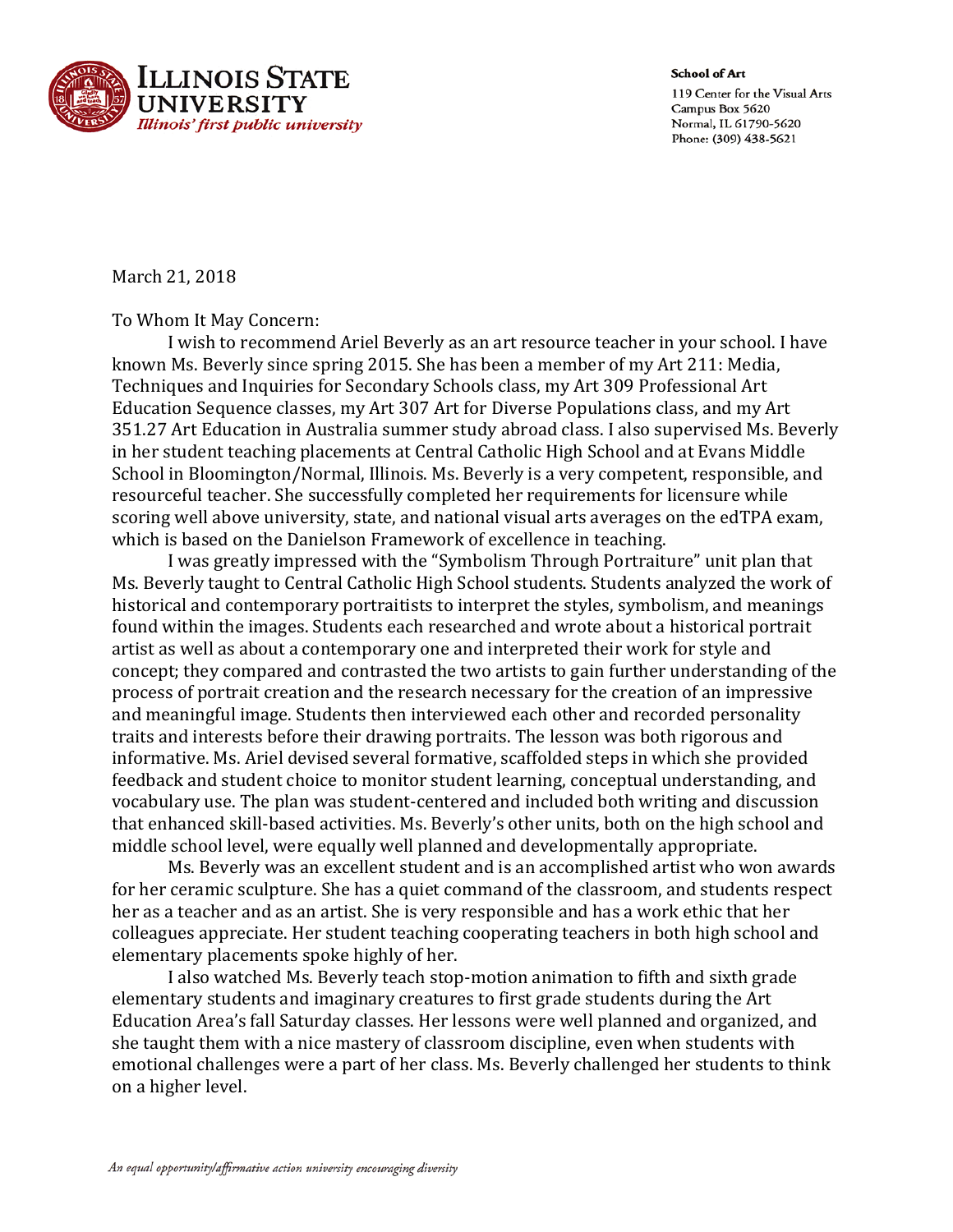

School of Art 119 Center for the Visual Arts Campus Box 5620 Normal, IL 61790-5620 Phone: (309) 438-5621

## March 21, 2018

## To Whom It May Concern:

I wish to recommend Ariel Beverly as an art resource teacher in your school. I have known Ms. Beverly since spring 2015. She has been a member of my Art 211: Media, Techniques and Inquiries for Secondary Schools class, my Art 309 Professional Art Education Sequence classes, my Art 307 Art for Diverse Populations class, and my Art 351.27 Art Education in Australia summer study abroad class. I also supervised Ms. Beverly in her student teaching placements at Central Catholic High School and at Evans Middle School in Bloomington/Normal, Illinois. Ms. Beverly is a very competent, responsible, and resourceful teacher. She successfully completed her requirements for licensure while scoring well above university, state, and national visual arts averages on the edTPA exam, which is based on the Danielson Framework of excellence in teaching.

I was greatly impressed with the "Symbolism Through Portraiture" unit plan that Ms. Beverly taught to Central Catholic High School students. Students analyzed the work of historical and contemporary portraitists to interpret the styles, symbolism, and meanings found within the images. Students each researched and wrote about a historical portrait artist as well as about a contemporary one and interpreted their work for style and concept; they compared and contrasted the two artists to gain further understanding of the process of portrait creation and the research necessary for the creation of an impressive and meaningful image. Students then interviewed each other and recorded personality traits and interests before their drawing portraits. The lesson was both rigorous and informative. Ms. Ariel devised several formative, scaffolded steps in which she provided feedback and student choice to monitor student learning, conceptual understanding, and vocabulary use. The plan was student-centered and included both writing and discussion that enhanced skill-based activities. Ms. Beverly's other units, both on the high school and middle school level, were equally well planned and developmentally appropriate.

Ms. Beverly was an excellent student and is an accomplished artist who won awards for her ceramic sculpture. She has a quiet command of the classroom, and students respect her as a teacher and as an artist. She is very responsible and has a work ethic that her colleagues appreciate. Her student teaching cooperating teachers in both high school and elementary placements spoke highly of her.

I also watched Ms. Beverly teach stop-motion animation to fifth and sixth grade elementary students and imaginary creatures to first grade students during the Art Education Area's fall Saturday classes. Her lessons were well planned and organized, and she taught them with a nice mastery of classroom discipline, even when students with emotional challenges were a part of her class. Ms. Beverly challenged her students to think on a higher level.